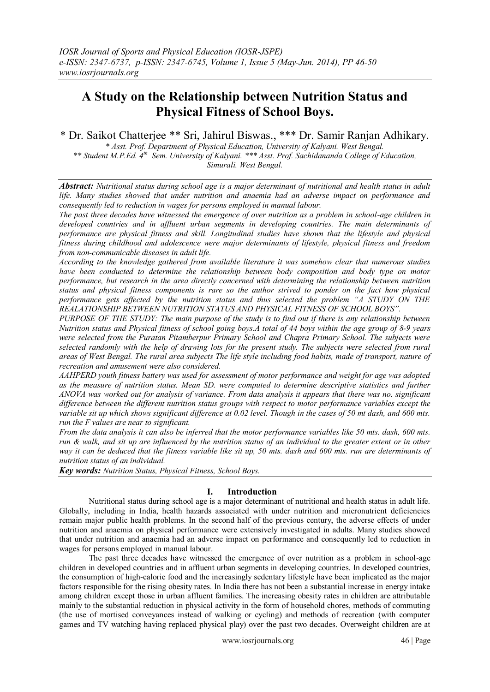# **A Study on the Relationship between Nutrition Status and Physical Fitness of School Boys.**

\* Dr. Saikot Chatterjee \*\* Sri, Jahirul Biswas., \*\*\* Dr. Samir Ranjan Adhikary.

*\* Asst. Prof. Department of Physical Education, University of Kalyani. West Bengal.* \*\* Student M.P.Ed. 4<sup>th</sup> Sem. University of Kalyani. \*\*\* Asst. Prof. Sachidananda College of Education, *Simurali. West Bengal.*

*Abstract: Nutritional status during school age is a major determinant of nutritional and health status in adult life. Many studies showed that under nutrition and anaemia had an adverse impact on performance and consequently led to reduction in wages for persons employed in manual labour.* 

*The past three decades have witnessed the emergence of over nutrition as a problem in school-age children in developed countries and in affluent urban segments in developing countries. The main determinants of performance are physical fitness and skill. Longitudinal studies have shown that the lifestyle and physical fitness during childhood and adolescence were major determinants of lifestyle, physical fitness and freedom from non-communicable diseases in adult life.*

*According to the knowledge gathered from available literature it was somehow clear that numerous studies have been conducted to determine the relationship between body composition and body type on motor performance, but research in the area directly concerned with determining the relationship between nutrition status and physical fitness components is rare so the author strived to ponder on the fact how physical performance gets affected by the nutrition status and thus selected the problem "A STUDY ON THE REALATIONSHIP BETWEEN NUTRITION STATUS AND PHYSICAL FITNESS OF SCHOOL BOYS".*

*PURPOSE OF THE STUDY: The main purpose of the study is to find out if there is any relationship between Nutrition status and Physical fitness of school going boys.A total of 44 boys within the age group of 8-9 years were selected from the Puratan Pitamberpur Primary School and Chapra Primary School. The subjects were selected randomly with the help of drawing lots for the present study. The subjects were selected from rural areas of West Bengal. The rural area subjects The life style including food habits, made of transport, nature of recreation and amusement were also considered.*

*AAHPERD youth fitness battery was used for assessment of motor performance and weight for age was adopted as the measure of nutrition status. Mean SD. were computed to determine descriptive statistics and further ANOVA was worked out for analysis of variance. From data analysis it appears that there was no. significant difference between the different nutrition status groups with respect to motor performance variables except the variable sit up which shows significant difference at 0.02 level. Though in the cases of 50 mt dash, and 600 mts. run the F values are near to significant.*

*From the data analysis it can also be inferred that the motor performance variables like 50 mts. dash, 600 mts. run & walk, and sit up are influenced by the nutrition status of an individual to the greater extent or in other way it can be deduced that the fitness variable like sit up, 50 mts. dash and 600 mts. run are determinants of nutrition status of an individual.*

*Key words: Nutrition Status, Physical Fitness, School Boys.*

# **I. Introduction**

Nutritional status during school age is a major determinant of nutritional and health status in adult life. Globally, including in India, health hazards associated with under nutrition and micronutrient deficiencies remain major public health problems. In the second half of the previous century, the adverse effects of under nutrition and anaemia on physical performance were extensively investigated in adults. Many studies showed that under nutrition and anaemia had an adverse impact on performance and consequently led to reduction in wages for persons employed in manual labour.

The past three decades have witnessed the emergence of over nutrition as a problem in school-age children in developed countries and in affluent urban segments in developing countries. In developed countries, the consumption of high-calorie food and the increasingly sedentary lifestyle have been implicated as the major factors responsible for the rising obesity rates. In India there has not been a substantial increase in energy intake among children except those in urban affluent families. The increasing obesity rates in children are attributable mainly to the substantial reduction in physical activity in the form of household chores, methods of commuting (the use of mortised conveyances instead of walking or cycling) and methods of recreation (with computer games and TV watching having replaced physical play) over the past two decades. Overweight children are at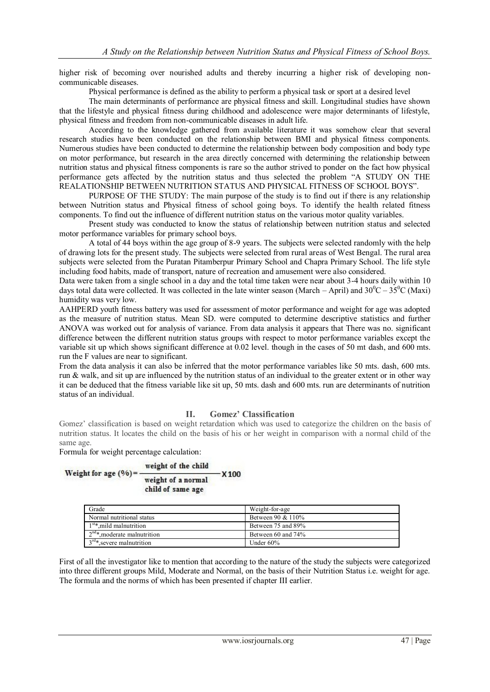higher risk of becoming over nourished adults and thereby incurring a higher risk of developing noncommunicable diseases.

Physical performance is defined as the ability to perform a physical task or sport at a desired level

The main determinants of performance are physical fitness and skill. Longitudinal studies have shown that the lifestyle and physical fitness during childhood and adolescence were major determinants of lifestyle, physical fitness and freedom from non-communicable diseases in adult life.

According to the knowledge gathered from available literature it was somehow clear that several research studies have been conducted on the relationship between BMI and physical fitness components. Numerous studies have been conducted to determine the relationship between body composition and body type on motor performance, but research in the area directly concerned with determining the relationship between nutrition status and physical fitness components is rare so the author strived to ponder on the fact how physical performance gets affected by the nutrition status and thus selected the problem "A STUDY ON THE REALATIONSHIP BETWEEN NUTRITION STATUS AND PHYSICAL FITNESS OF SCHOOL BOYS".

PURPOSE OF THE STUDY: The main purpose of the study is to find out if there is any relationship between Nutrition status and Physical fitness of school going boys. To identify the health related fitness components. To find out the influence of different nutrition status on the various motor quality variables.

Present study was conducted to know the status of relationship between nutrition status and selected motor performance variables for primary school boys.

A total of 44 boys within the age group of 8-9 years. The subjects were selected randomly with the help of drawing lots for the present study. The subjects were selected from rural areas of West Bengal. The rural area subjects were selected from the Puratan Pitamberpur Primary School and Chapra Primary School. The life style including food habits, made of transport, nature of recreation and amusement were also considered.

Data were taken from a single school in a day and the total time taken were near about 3-4 hours daily within 10 days total data were collected. It was collected in the late winter season (March – April) and  $30^0C - 35^0C$  (Maxi) humidity was very low.

AAHPERD youth fitness battery was used for assessment of motor performance and weight for age was adopted as the measure of nutrition status. Mean SD. were computed to determine descriptive statistics and further ANOVA was worked out for analysis of variance. From data analysis it appears that There was no. significant difference between the different nutrition status groups with respect to motor performance variables except the variable sit up which shows significant difference at 0.02 level. though in the cases of 50 mt dash, and 600 mts. run the F values are near to significant.

From the data analysis it can also be inferred that the motor performance variables like 50 mts. dash, 600 mts. run & walk, and sit up are influenced by the nutrition status of an individual to the greater extent or in other way it can be deduced that the fitness variable like sit up, 50 mts. dash and 600 mts. run are determinants of nutrition status of an individual.

### **II. Gomez' Classification**

Gomez' classification is based on weight retardation which was used to categorize the children on the basis of nutrition status. It locates the child on the basis of his or her weight in comparison with a normal child of the same age.

Formula for weight percentage calculation:

| Weight for age $(%$ )= | weight of the child                     |                  |
|------------------------|-----------------------------------------|------------------|
|                        | weight of a normal<br>child of same age | X <sub>100</sub> |

| Grade                             | Weight-for-age     |
|-----------------------------------|--------------------|
| Normal nutritional status         | Between 90 & 110%  |
| $1st$ mild malnutrition           | Between 75 and 89% |
| $2^{nd*}$ , moderate malnutrition | Between 60 and 74% |
| $3rd*$ severe malnutrition        | Under $60\%$       |

First of all the investigator like to mention that according to the nature of the study the subjects were categorized into three different groups Mild, Moderate and Normal, on the basis of their Nutrition Status i.e. weight for age. The formula and the norms of which has been presented if chapter III earlier.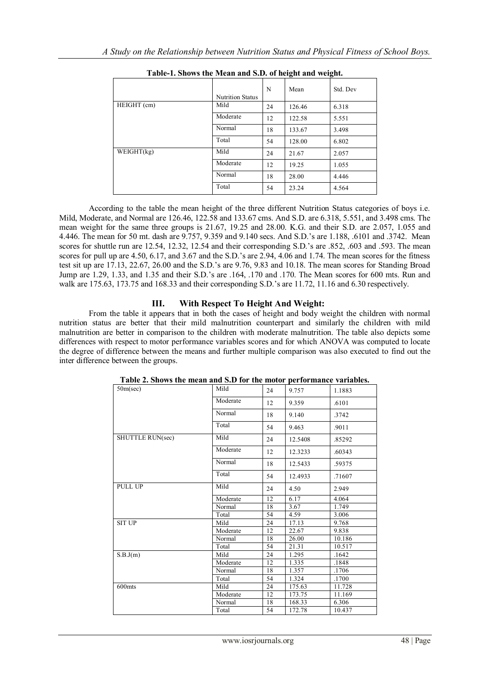|             |                         |    | o      | o        |
|-------------|-------------------------|----|--------|----------|
|             | <b>Nutrition Status</b> | N  | Mean   | Std. Dev |
| HEIGHT (cm) | Mild                    | 24 | 126.46 | 6.318    |
|             | Moderate                | 12 | 122.58 | 5.551    |
|             | Normal                  | 18 | 133.67 | 3.498    |
|             | Total                   | 54 | 128.00 | 6.802    |
| WEIGHT(kg)  | Mild                    | 24 | 21.67  | 2.057    |
|             | Moderate                | 12 | 19.25  | 1.055    |
|             | Normal                  | 18 | 28.00  | 4.446    |
|             | Total                   | 54 | 23.24  | 4.564    |

**Table-1. Shows the Mean and S.D. of height and weight.**

According to the table the mean height of the three different Nutrition Status categories of boys i.e. Mild, Moderate, and Normal are 126.46, 122.58 and 133.67 cms. And S.D. are 6.318, 5.551, and 3.498 cms. The mean weight for the same three groups is 21.67, 19.25 and 28.00. K.G. and their S.D. are 2.057, 1.055 and 4.446. The mean for 50 mt. dash are 9.757, 9.359 and 9.140 secs. And S.D.'s are 1.188, .6101 and .3742. Mean scores for shuttle run are 12.54, 12.32, 12.54 and their corresponding S.D.'s are .852, .603 and .593. The mean scores for pull up are 4.50, 6.17, and 3.67 and the S.D.'s are 2.94, 4.06 and 1.74. The mean scores for the fitness test sit up are 17.13, 22.67, 26.00 and the S.D.'s are 9.76, 9.83 and 10.18. The mean scores for Standing Broad Jump are 1.29, 1.33, and 1.35 and their S.D.'s are .164, .170 and .170. The Mean scores for 600 mts. Run and walk are 175.63, 173.75 and 168.33 and their corresponding S.D.'s are 11.72, 11.16 and 6.30 respectively.

# **III. With Respect To Height And Weight:**

From the table it appears that in both the cases of height and body weight the children with normal nutrition status are better that their mild malnutrition counterpart and similarly the children with mild malnutrition are better in comparison to the children with moderate malnutrition. The table also depicts some differences with respect to motor performance variables scores and for which ANOVA was computed to locate the degree of difference between the means and further multiple comparison was also executed to find out the inter difference between the groups.

| 50m/sec)                  | Mild     | 24 | 9.757   | 1.1883 |
|---------------------------|----------|----|---------|--------|
|                           | Moderate | 12 | 9.359   | .6101  |
|                           | Normal   | 18 | 9.140   | .3742  |
|                           | Total    | 54 | 9.463   | .9011  |
| <b>SHUTTLE RUN(sec)</b>   | Mild     | 24 | 12.5408 | .85292 |
|                           | Moderate | 12 | 12.3233 | .60343 |
|                           | Normal   | 18 | 12.5433 | .59375 |
|                           | Total    | 54 | 12.4933 | .71607 |
| PULL UP                   | Mild     | 24 | 4.50    | 2.949  |
|                           | Moderate | 12 | 6.17    | 4.064  |
|                           | Normal   | 18 | 3.67    | 1.749  |
|                           | Total    | 54 | 4.59    | 3.006  |
| <b>SIT UP</b>             | Mild     | 24 | 17.13   | 9.768  |
|                           | Moderate | 12 | 22.67   | 9.838  |
|                           | Normal   | 18 | 26.00   | 10.186 |
|                           | Total    | 54 | 21.31   | 10.517 |
| $\overline{S}$ .B.J $(m)$ | Mild     | 24 | 1.295   | .1642  |
|                           | Moderate | 12 | 1.335   | .1848  |
|                           | Normal   | 18 | 1.357   | .1706  |
|                           | Total    | 54 | 1.324   | .1700  |
| 600mts                    | Mild     | 24 | 175.63  | 11.728 |
|                           | Moderate | 12 | 173.75  | 11.169 |
|                           | Normal   | 18 | 168.33  | 6.306  |
|                           | Total    | 54 | 172.78  | 10.437 |

**Table 2. Shows the mean and S.D for the motor performance variables.**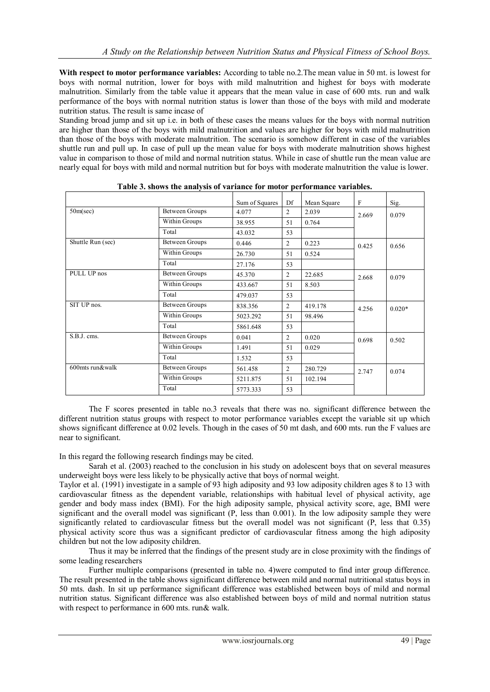**With respect to motor performance variables:** According to table no.2.The mean value in 50 mt. is lowest for boys with normal nutrition, lower for boys with mild malnutrition and highest for boys with moderate malnutrition. Similarly from the table value it appears that the mean value in case of 600 mts. run and walk performance of the boys with normal nutrition status is lower than those of the boys with mild and moderate nutrition status. The result is same incase of

Standing broad jump and sit up i.e. in both of these cases the means values for the boys with normal nutrition are higher than those of the boys with mild malnutrition and values are higher for boys with mild malnutrition than those of the boys with moderate malnutrition. The scenario is somehow different in case of the variables shuttle run and pull up. In case of pull up the mean value for boys with moderate malnutrition shows highest value in comparison to those of mild and normal nutrition status. While in case of shuttle run the mean value are nearly equal for boys with mild and normal nutrition but for boys with moderate malnutrition the value is lower.

|                   |                       | Sum of Squares | Df             | Mean Square | F     | Sig.     |
|-------------------|-----------------------|----------------|----------------|-------------|-------|----------|
| $50m/sec$ )       | <b>Between Groups</b> | 4.077          | $\overline{c}$ | 2.039       | 2.669 | 0.079    |
|                   | Within Groups         | 38.955         | 51             | 0.764       |       |          |
|                   | Total                 | 43.032         | 53             |             |       |          |
| Shuttle Run (sec) | <b>Between Groups</b> | 0.446          | $\overline{2}$ | 0.223       | 0.425 | 0.656    |
|                   | Within Groups         | 26.730         | 51             | 0.524       |       |          |
|                   | Total                 | 27.176         | 53             |             |       |          |
| PULL UP nos       | Between Groups        | 45.370         | $\overline{2}$ | 22.685      | 2.668 | 0.079    |
|                   | Within Groups         | 433.667        | 51             | 8.503       |       |          |
|                   | Total                 | 479.037        | 53             |             |       |          |
| SIT UP nos.       | <b>Between Groups</b> | 838.356        | $\overline{2}$ | 419.178     | 4.256 | $0.020*$ |
|                   | Within Groups         | 5023.292       | 51             | 98.496      |       |          |
|                   | Total                 | 5861.648       | 53             |             |       |          |
| S.B.J. cms.       | Between Groups        | 0.041          | 2              | 0.020       | 0.698 | 0.502    |
|                   | Within Groups         | 1.491          | 51             | 0.029       |       |          |
|                   | Total                 | 1.532          | 53             |             |       |          |
| 600mts run&walk   | <b>Between Groups</b> | 561.458        | $\overline{2}$ | 280.729     | 2.747 | 0.074    |
|                   | Within Groups         | 5211.875       | 51             | 102.194     |       |          |
|                   | Total                 | 5773.333       | 53             |             |       |          |

**Table 3. shows the analysis of variance for motor performance variables.**

The F scores presented in table no.3 reveals that there was no. significant difference between the different nutrition status groups with respect to motor performance variables except the variable sit up which shows significant difference at 0.02 levels. Though in the cases of 50 mt dash, and 600 mts. run the F values are near to significant.

In this regard the following research findings may be cited.

Sarah et al. (2003) reached to the conclusion in his study on adolescent boys that on several measures underweight boys were less likely to be physically active that boys of normal weight.

Taylor et al. (1991) investigate in a sample of 93 high adiposity and 93 low adiposity children ages 8 to 13 with cardiovascular fitness as the dependent variable, relationships with habitual level of physical activity, age gender and body mass index (BMI). For the high adiposity sample, physical activity score, age, BMI were significant and the overall model was significant (P, less than 0.001). In the low adiposity sample they were significantly related to cardiovascular fitness but the overall model was not significant (P, less that 0.35) physical activity score thus was a significant predictor of cardiovascular fitness among the high adiposity children but not the low adiposity children.

Thus it may be inferred that the findings of the present study are in close proximity with the findings of some leading researchers

Further multiple comparisons (presented in table no. 4)were computed to find inter group difference. The result presented in the table shows significant difference between mild and normal nutritional status boys in 50 mts. dash. In sit up performance significant difference was established between boys of mild and normal nutrition status. Significant difference was also established between boys of mild and normal nutrition status with respect to performance in 600 mts. run& walk.